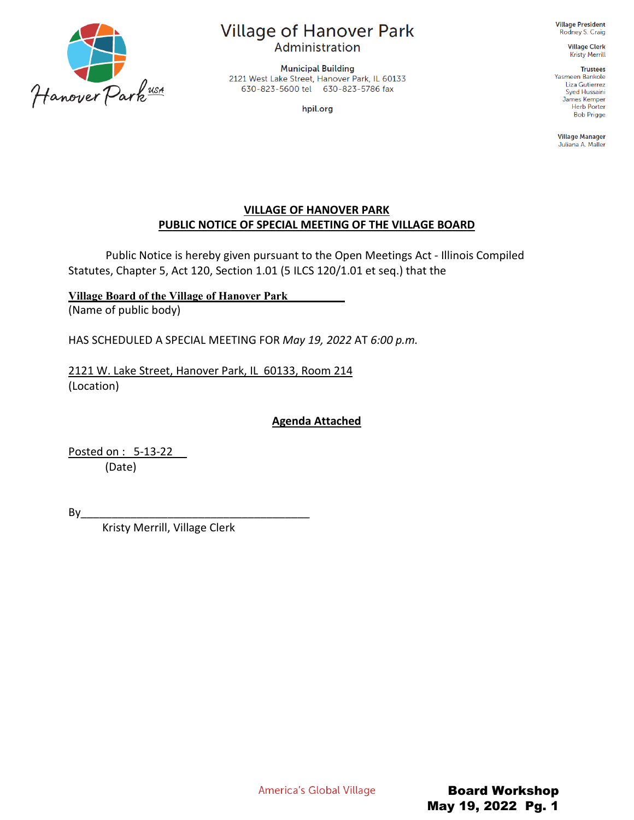

# **Village of Hanover Park**

Administration

**Municipal Building** 2121 West Lake Street, Hanover Park, IL 60133 630-823-5600 tel 630-823-5786 fax

hpil.org

**Village President** Rodney S. Craig

> **Village Clerk Kristy Merrill**

**Trustees** Yasmeen Bankole Liza Gutierrez Syed Hussaini James Kemper Herb Porter **Bob Prigge** 

**Village Manager** Juliana A. Maller

#### **VILLAGE OF HANOVER PARK PUBLIC NOTICE OF SPECIAL MEETING OF THE VILLAGE BOARD**

Public Notice is hereby given pursuant to the Open Meetings Act - Illinois Compiled Statutes, Chapter 5, Act 120, Section 1.01 (5 ILCS 120/1.01 et seq.) that the

**Village Board of the Village of Hanover Park\_\_\_\_\_\_\_\_\_\_**  (Name of public body)

HAS SCHEDULED A SPECIAL MEETING FOR *May 19, 2022* AT *6:00 p.m.*

2121 W. Lake Street, Hanover Park, IL 60133, Room 214 (Location)

**Agenda Attached**

Posted on : 5-13-22 (Date)

By\_\_\_\_\_\_\_\_\_\_\_\_\_\_\_\_\_\_\_\_\_\_\_\_\_\_\_\_\_\_\_\_\_\_\_\_\_

Kristy Merrill, Village Clerk

America's Global Village

Board Workshop May 19, 2022 Pg. 1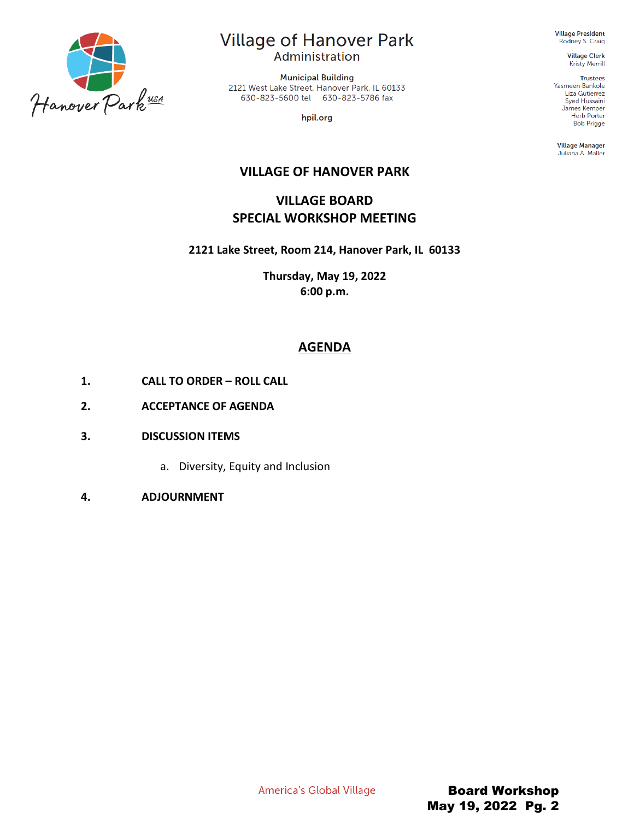

# **Village of Hanover Park**

Administration

**Municipal Building** 2121 West Lake Street, Hanover Park, IL 60133 630-823-5600 tel 630-823-5786 fax

hpil.org

**Village President** Rodney S. Craig

> **Village Clerk** Kristy Merrill

> > **Trustees**

Yasmeen Bankole Liza Gutierrez Syed Hussaini James Kemper<br>Herb Porter **Bob Prigge** 

**Village Manager** Juliana A. Maller

## **VILLAGE OF HANOVER PARK**

# **VILLAGE BOARD SPECIAL WORKSHOP MEETING**

**2121 Lake Street, Room 214, Hanover Park, IL 60133**

**Thursday, May 19, 2022 6:00 p.m.**

# **AGENDA**

- **1. CALL TO ORDER – ROLL CALL**
- **2. ACCEPTANCE OF AGENDA**
- **3. DISCUSSION ITEMS**
	- a. Diversity, Equity and Inclusion
- **4. ADJOURNMENT**

America's Global Village

Board Workshop May 19, 2022 Pg. 2